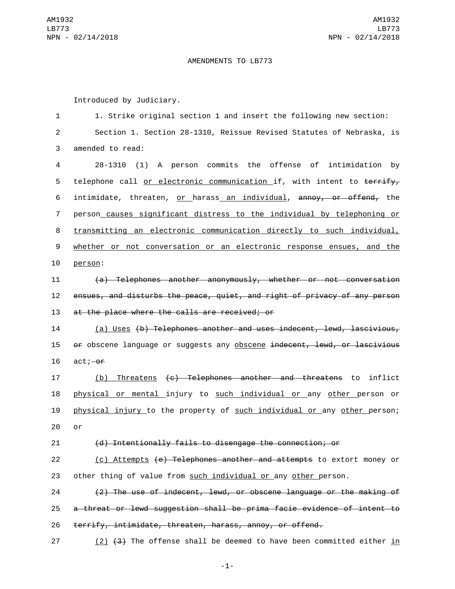## AMENDMENTS TO LB773

Introduced by Judiciary.

1 1. Strike original section 1 and insert the following new section: Section 1. Section 28-1310, Reissue Revised Statutes of Nebraska, is 3 amended to read: 28-1310 (1) A person commits the offense of intimidation by 5 telephone call or electronic communication if, with intent to terrify, intimidate, threaten, or harass an individual, annoy, or offend, the person causes significant distress to the individual by telephoning or transmitting an electronic communication directly to such individual, whether or not conversation or an electronic response ensues, and the 10 person: (a) Telephones another anonymously, whether or not conversation ensues, and disturbs the peace, quiet, and right of privacy of any person 13 at the place where the calls are received; or (a) Uses (b) Telephones another and uses indecent, lewd, lascivious, 15 of obscene language or suggests any obscene indecent, lewd, or lascivious  $16$  act; $-0$ f (b) Threatens (c) Telephones another and threatens to inflict physical or mental injury to such individual or any other person or physical injury to the property of such individual or any other person;  $20$  or (d) Intentionally fails to disengage the connection; or 22 (c) Attempts (e) Telephones another and attempts to extort money or other thing of value from such individual or any other person. (2) The use of indecent, lewd, or obscene language or the making of a threat or lewd suggestion shall be prima facie evidence of intent to terrify, intimidate, threaten, harass, annoy, or offend. 27 (2)  $(3)$  The offense shall be deemed to have been committed either in

-1-